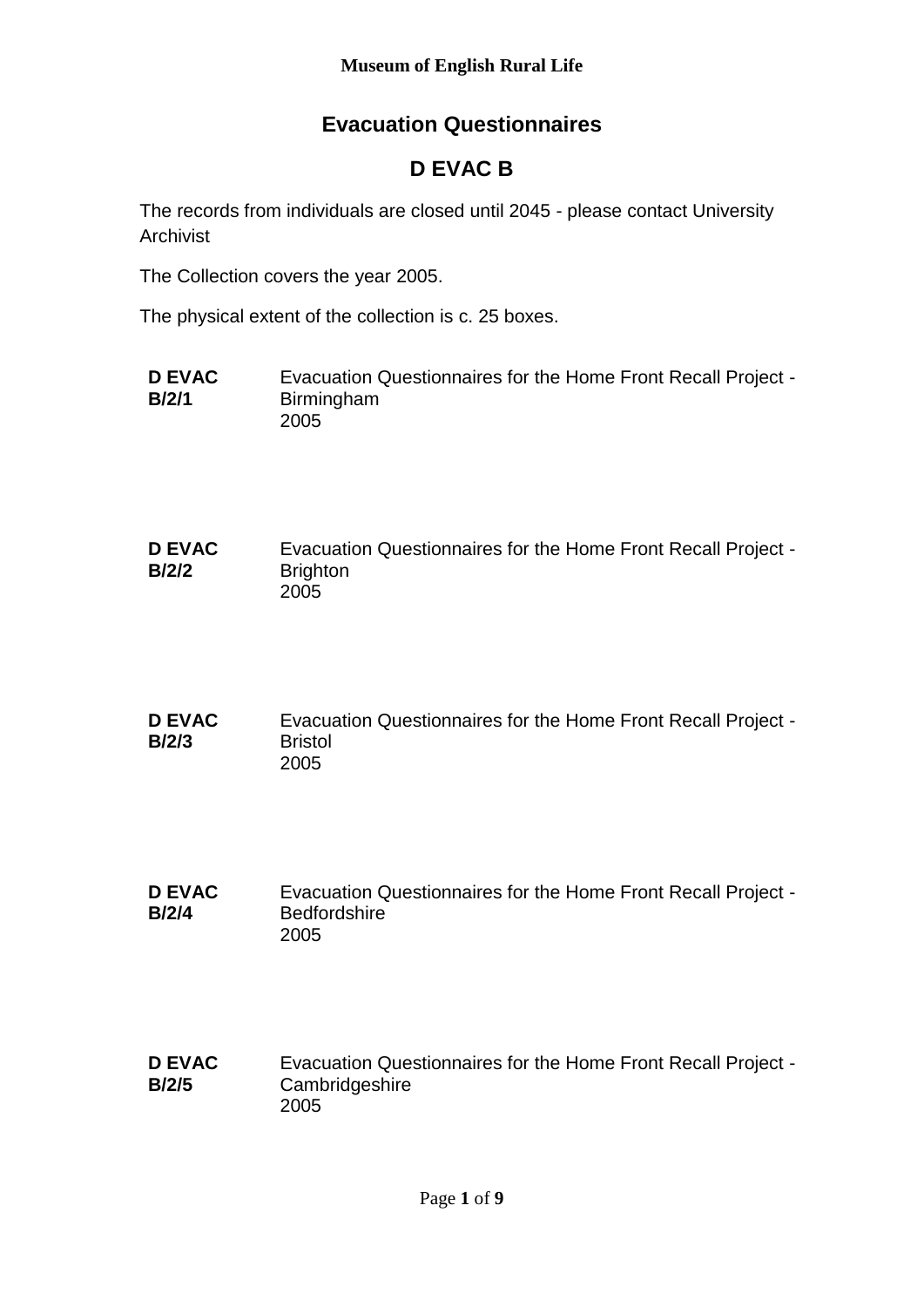## **Evacuation Questionnaires**

# **D EVAC B**

The records from individuals are closed until 2045 - please contact University Archivist

The Collection covers the year 2005.

The physical extent of the collection is c. 25 boxes.

- **D EVAC B/2/1** Evacuation Questionnaires for the Home Front Recall Project - Birmingham 2005
- **D EVAC B/2/2** Evacuation Questionnaires for the Home Front Recall Project - **Brighton** 2005
- **D EVAC B/2/3** Evacuation Questionnaires for the Home Front Recall Project - **Bristol** 2005
- **D EVAC B/2/4** Evacuation Questionnaires for the Home Front Recall Project - **Bedfordshire** 2005
- **D EVAC B/2/5** Evacuation Questionnaires for the Home Front Recall Project - **Cambridgeshire** 2005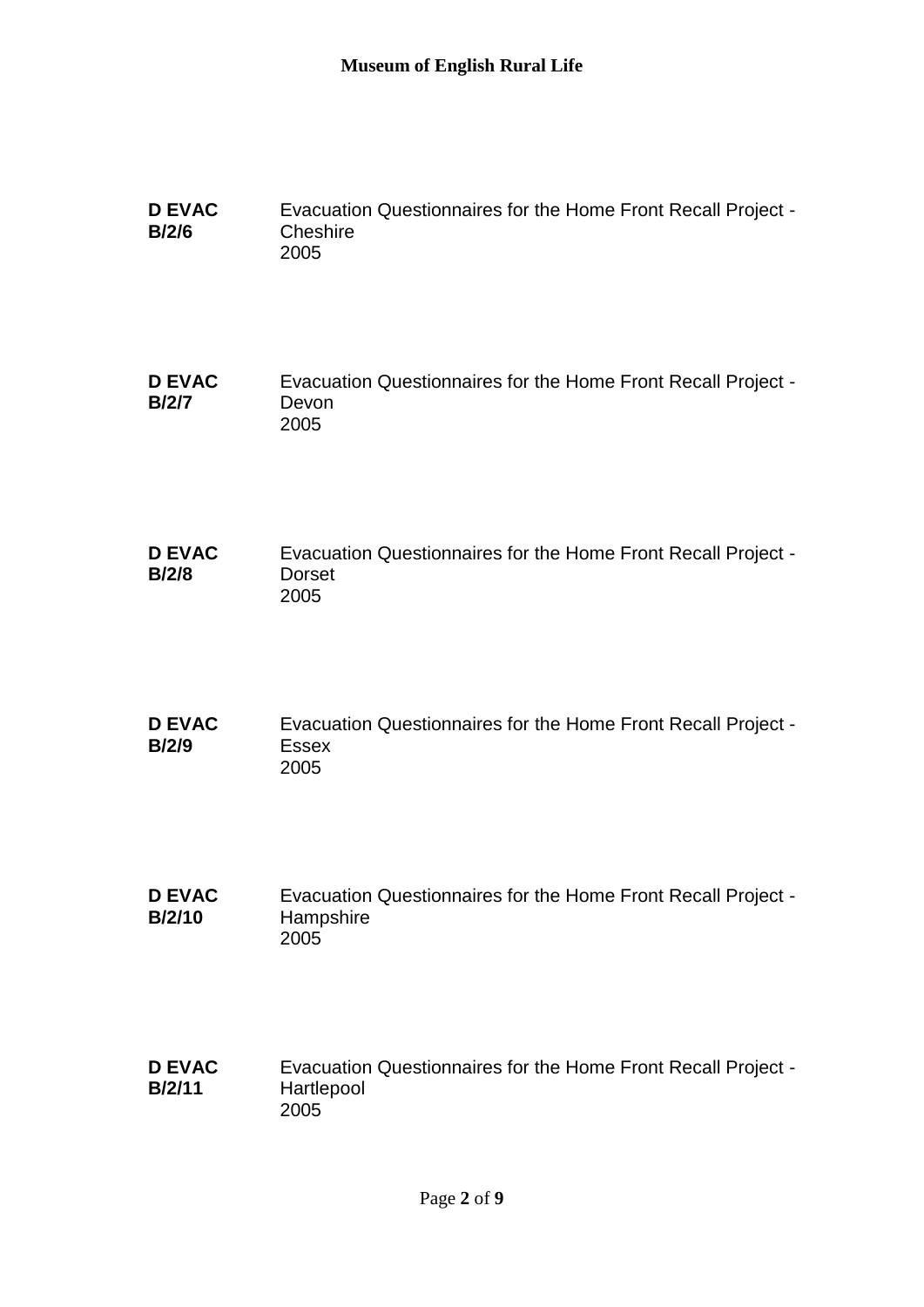| <b>D EVAC</b> | Evacuation Questionnaires for the Home Front Recall Project - |
|---------------|---------------------------------------------------------------|
| B/2/6         | Cheshire                                                      |
|               | 2005                                                          |

```
D EVAC 
B/2/7
               Evacuation Questionnaires for the Home Front Recall Project -
               Devon
              2005
```
- **D EVAC B/2/8** Evacuation Questionnaires for the Home Front Recall Project - Dorset 2005
- **D EVAC B/2/9** Evacuation Questionnaires for the Home Front Recall Project - Essex 2005
- **D EVAC B/2/10** Evacuation Questionnaires for the Home Front Recall Project - **Hampshire** 2005

#### **D EVAC B/2/11** Evacuation Questionnaires for the Home Front Recall Project - Hartlepool 2005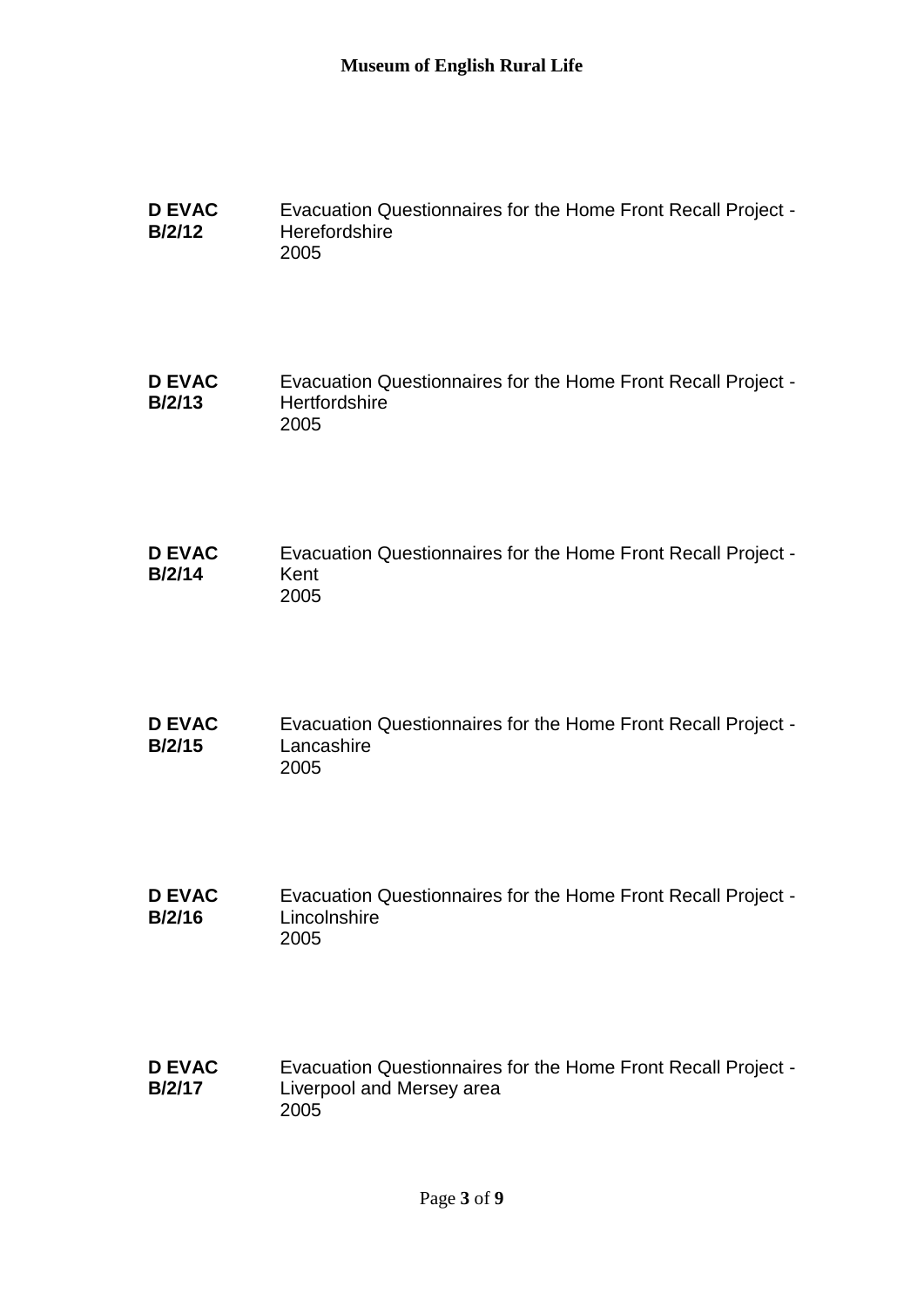| <b>D EVAC</b> | Evacuation Questionnaires for the Home Front Recall Project - |
|---------------|---------------------------------------------------------------|
| <b>B/2/12</b> | <b>Herefordshire</b>                                          |
|               | 2005                                                          |

```
D EVAC 
B/2/13
               Evacuation Questionnaires for the Home Front Recall Project -
               Hertfordshire
               2005
```
- **D EVAC B/2/14** Evacuation Questionnaires for the Home Front Recall Project - Kent 2005
- **D EVAC B/2/15** Evacuation Questionnaires for the Home Front Recall Project - **Lancashire** 2005
- **D EVAC B/2/16** Evacuation Questionnaires for the Home Front Recall Project - **Lincolnshire** 2005

#### **D EVAC B/2/17** Evacuation Questionnaires for the Home Front Recall Project - Liverpool and Mersey area 2005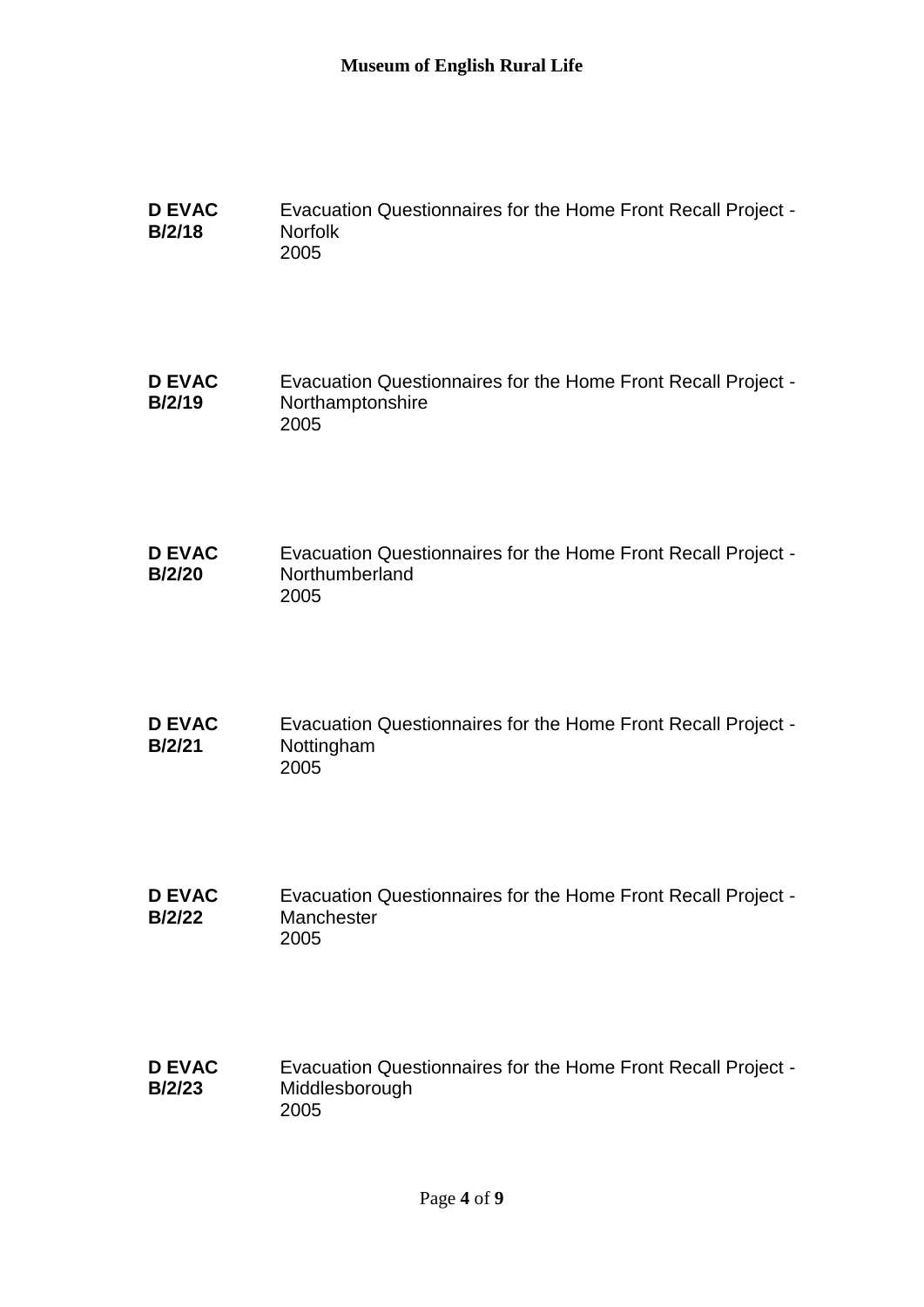| <b>D EVAC</b> | Evacuation Questionnaires for the Home Front Recall Project - |
|---------------|---------------------------------------------------------------|
| <b>B/2/18</b> | <b>Norfolk</b>                                                |
|               | 2005                                                          |

```
D EVAC 
B/2/19
               Evacuation Questionnaires for the Home Front Recall Project -
               Northamptonshire
              2005
```
- **D EVAC B/2/20** Evacuation Questionnaires for the Home Front Recall Project - Northumberland 2005
- **D EVAC B/2/21** Evacuation Questionnaires for the Home Front Recall Project - Nottingham 2005
- **D EVAC B/2/22** Evacuation Questionnaires for the Home Front Recall Project - **Manchester** 2005

#### **D EVAC B/2/23** Evacuation Questionnaires for the Home Front Recall Project - Middlesborough 2005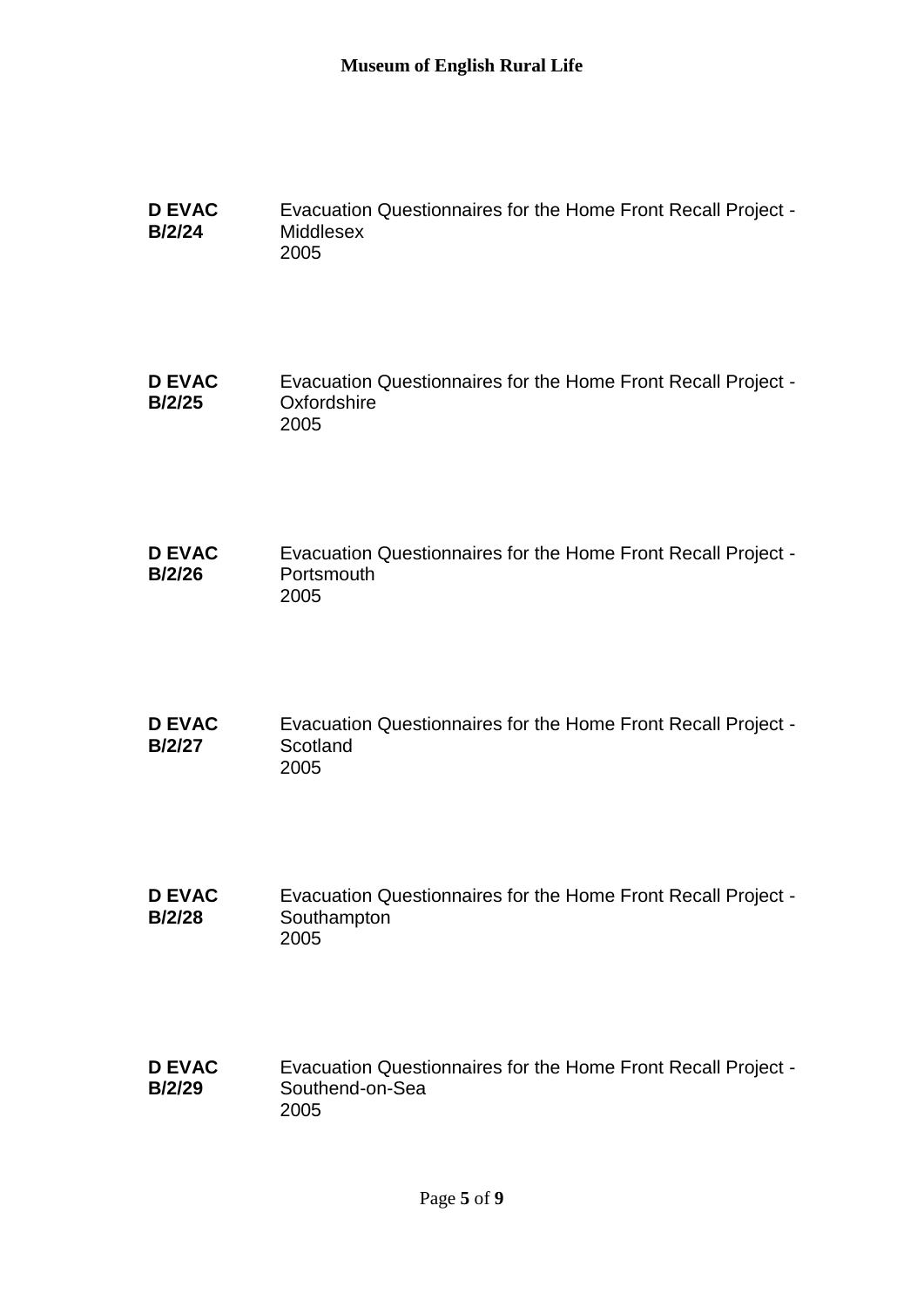| <b>D EVAC</b> | Evacuation Questionnaires for the Home Front Recall Project - |
|---------------|---------------------------------------------------------------|
| <b>B/2/24</b> | Middlesex                                                     |
|               | 2005                                                          |

```
D EVAC 
B/2/25
               Evacuation Questionnaires for the Home Front Recall Project -
               Oxfordshire
               2005
```
- **D EVAC B/2/26** Evacuation Questionnaires for the Home Front Recall Project - **Portsmouth** 2005
- **D EVAC B/2/27** Evacuation Questionnaires for the Home Front Recall Project - **Scotland** 2005
- **D EVAC B/2/28** Evacuation Questionnaires for the Home Front Recall Project - Southampton 2005

#### **D EVAC B/2/29** Evacuation Questionnaires for the Home Front Recall Project - Southend-on-Sea 2005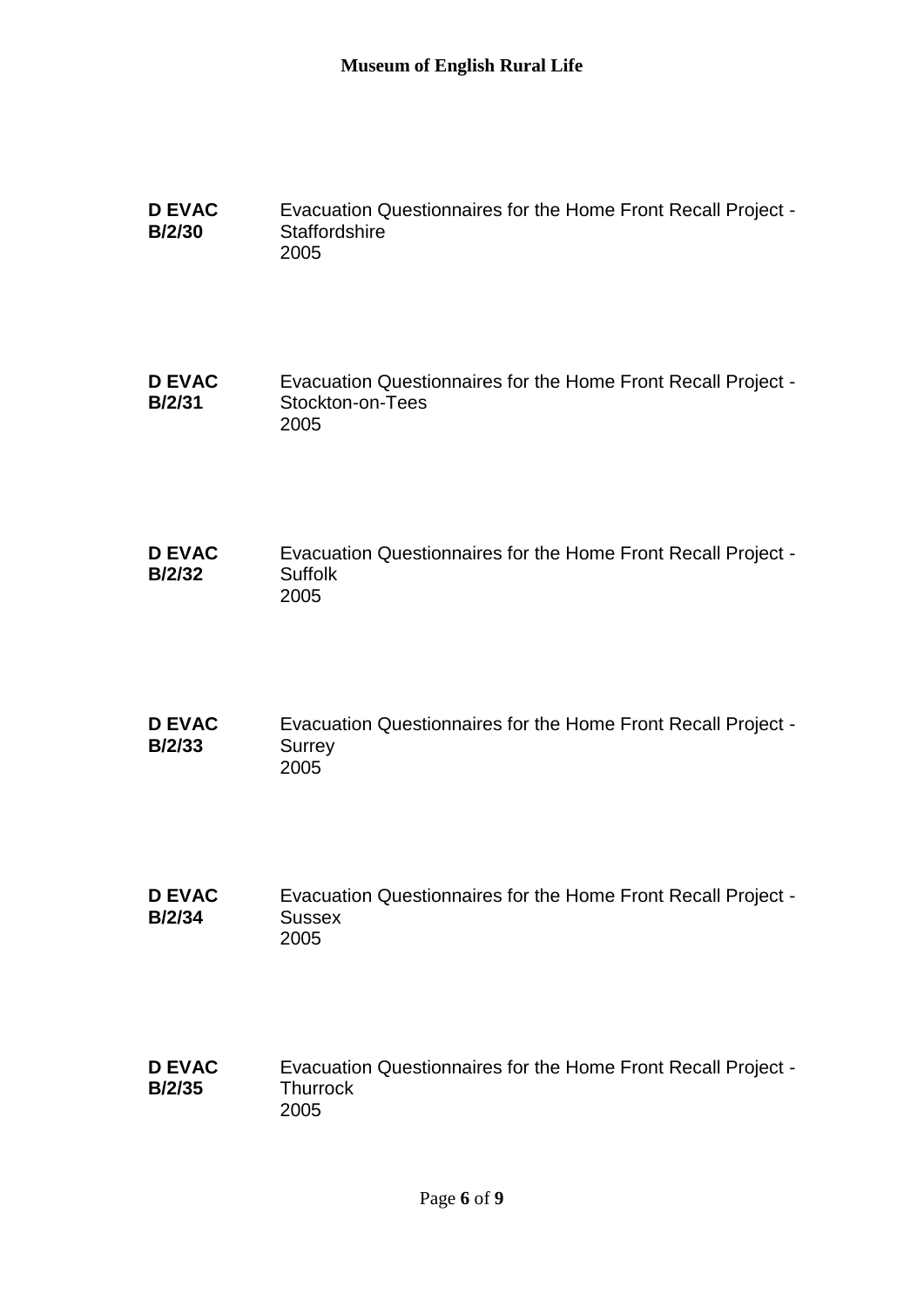| <b>D EVAC</b> | Evacuation Questionnaires for the Home Front Recall Project - |
|---------------|---------------------------------------------------------------|
| <b>B/2/30</b> | Staffordshire                                                 |
|               | 2005                                                          |

```
D EVAC 
B/2/31
               Evacuation Questionnaires for the Home Front Recall Project -
               Stockton-on-Tees
               2005
```
- **D EVAC B/2/32** Evacuation Questionnaires for the Home Front Recall Project - Suffolk 2005
- **D EVAC B/2/33** Evacuation Questionnaires for the Home Front Recall Project - **Surrey** 2005
- **D EVAC B/2/34** Evacuation Questionnaires for the Home Front Recall Project - **Sussex** 2005

#### **D EVAC B/2/35** Evacuation Questionnaires for the Home Front Recall Project - **Thurrock** 2005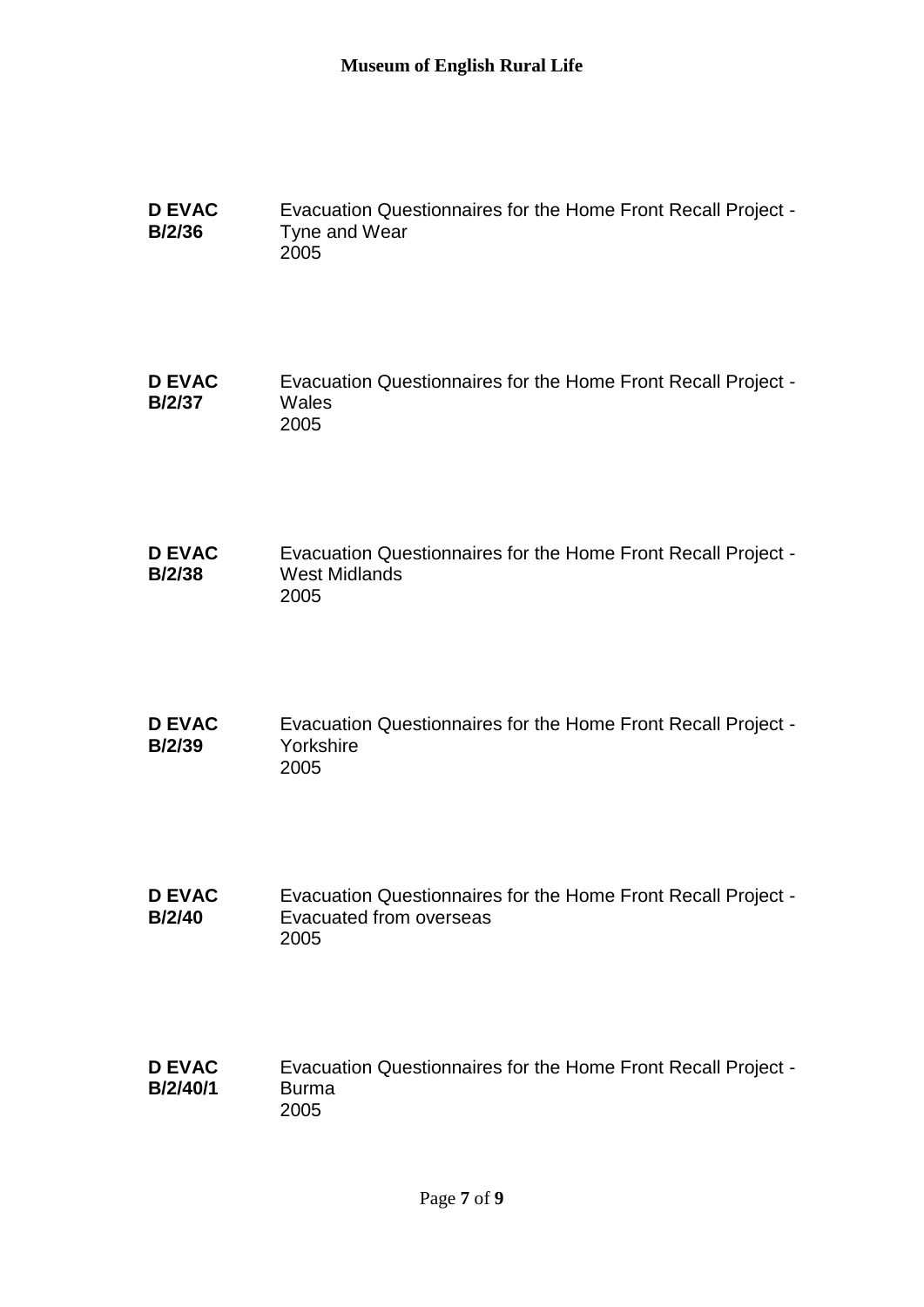**D EVAC B/2/36** Evacuation Questionnaires for the Home Front Recall Project - Tyne and Wear 2005

**D EVAC B/2/37** Evacuation Questionnaires for the Home Front Recall Project - **Wales** 2005

- **D EVAC B/2/38** Evacuation Questionnaires for the Home Front Recall Project - West Midlands 2005
- **D EVAC B/2/39** Evacuation Questionnaires for the Home Front Recall Project - Yorkshire 2005
- **D EVAC B/2/40** Evacuation Questionnaires for the Home Front Recall Project - Evacuated from overseas 2005

#### **D EVAC B/2/40/1** Evacuation Questionnaires for the Home Front Recall Project - Burma 2005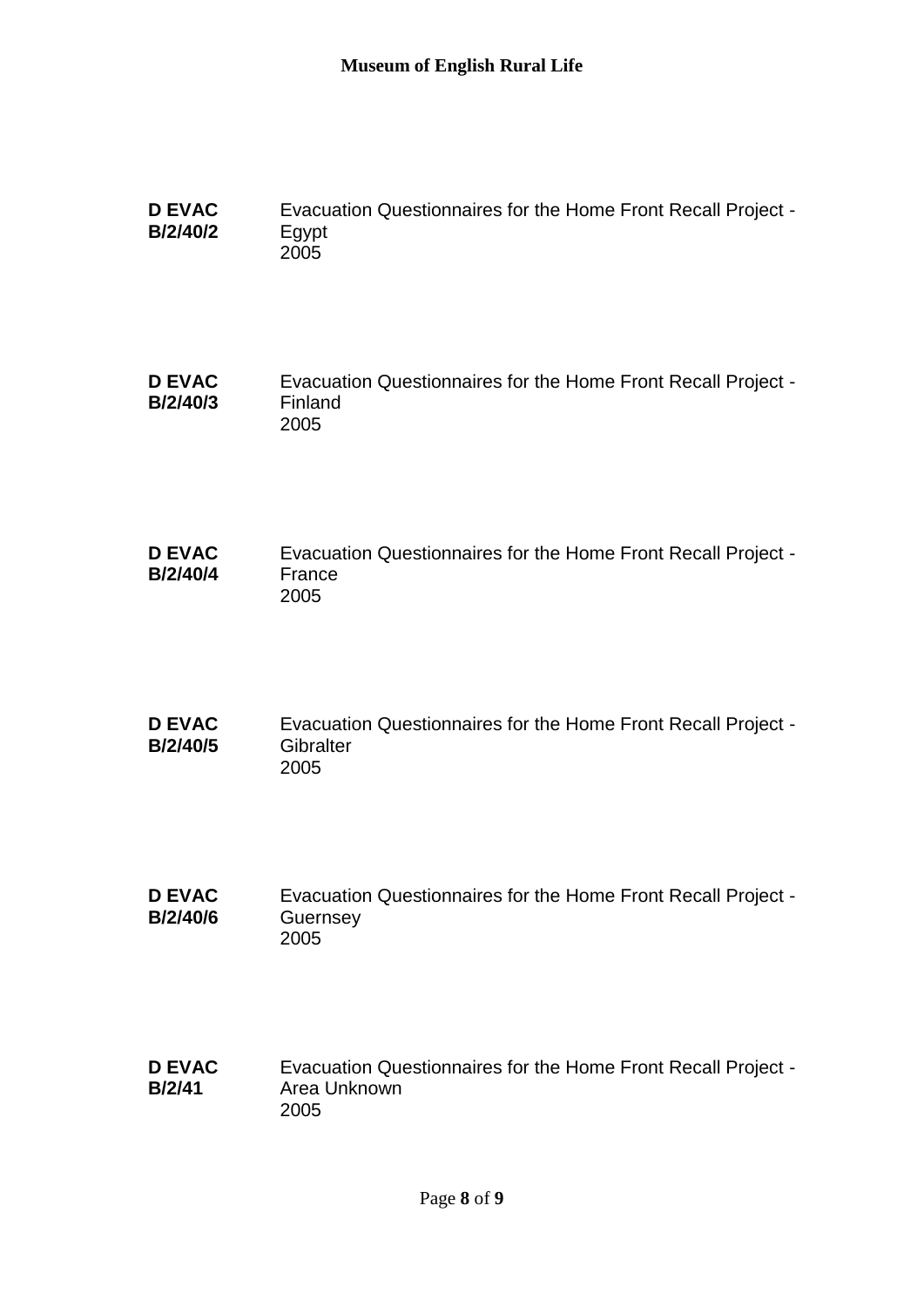| <b>D EVAC</b>   | Evacuation Questionnaires for the Home Front Recall Project - |
|-----------------|---------------------------------------------------------------|
| <b>B/2/40/2</b> | Eqypt                                                         |
|                 | 2005                                                          |

```
D EVAC 
B/2/40/3
               Evacuation Questionnaires for the Home Front Recall Project -
               Finland
               2005
```
- **D EVAC B/2/40/4** Evacuation Questionnaires for the Home Front Recall Project - France 2005
- **D EVAC B/2/40/5** Evacuation Questionnaires for the Home Front Recall Project - **Gibralter** 2005
- **D EVAC B/2/40/6** Evacuation Questionnaires for the Home Front Recall Project - **Guernsey** 2005

#### **D EVAC B/2/41** Evacuation Questionnaires for the Home Front Recall Project - Area Unknown 2005